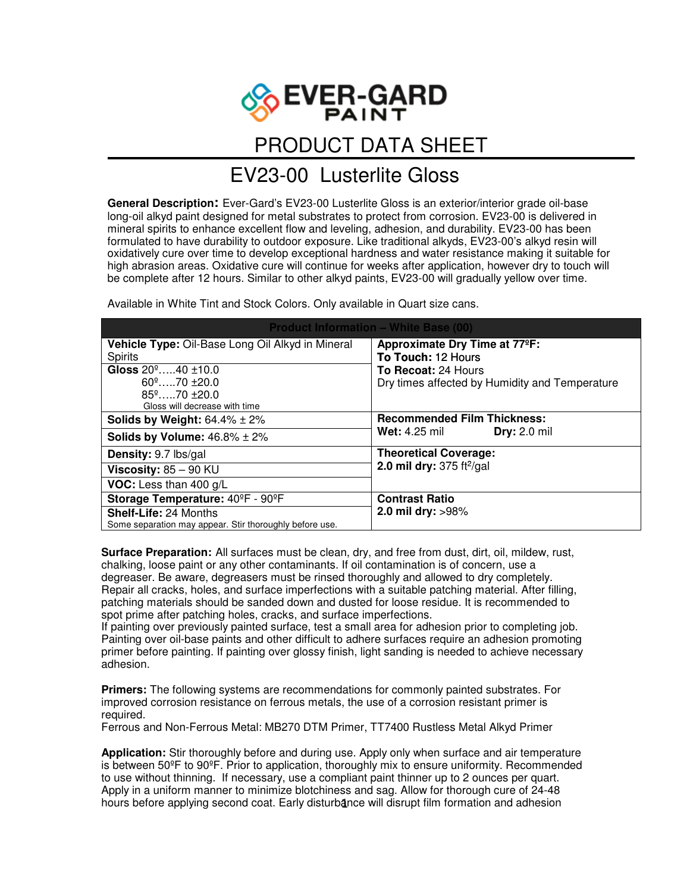

## PRODUCT DATA SHEET

## EV23-00Lusterlite Gloss

**General Description:** Ever-Gard's EV23-00 Lusterlite Gloss is an exterior/interior grade oil-base long-oil alkyd paint designed for metal substrates to protect from corrosion. EV23-00 is delivered in mineral spirits to enhance excellent flow and leveling, adhesion, and durability. EV23-00 has been formulated to have durability to outdoor exposure. Like traditional alkyds, EV23-00's alkyd resin will oxidatively cure over time to develop exceptional hardness and water resistance making it suitable for high abrasion areas. Oxidative cure will continue for weeks after application, however dry to touch will be complete after 12 hours. Similar to other alkyd paints, EV23-00 will gradually yellow over time.

Available in White Tint and Stock Colors. Only available in Quart size cans.

| <b>Product Information - White Base (00)</b>            |                                                                                   |
|---------------------------------------------------------|-----------------------------------------------------------------------------------|
| Vehicle Type: Oil-Base Long Oil Alkyd in Mineral        | Approximate Dry Time at 77°F:                                                     |
| <b>Spirits</b>                                          | To Touch: 12 Hours<br>To Recoat: 24 Hours                                         |
| Gloss $20^{\circ}$ 40 $\pm$ 10.0                        |                                                                                   |
| $60^{\circ}$ 70 +20.0                                   | Dry times affected by Humidity and Temperature                                    |
| $85^{\circ}$ 70 $\pm$ 20.0                              |                                                                                   |
| Gloss will decrease with time                           |                                                                                   |
| <b>Solids by Weight:</b> $64.4\% \pm 2\%$               | <b>Recommended Film Thickness:</b><br><b>Dry: 2.0 mil</b><br><b>Wet:</b> 4.25 mil |
| Solids by Volume: $46.8\% \pm 2\%$                      |                                                                                   |
| Density: 9.7 lbs/gal                                    | <b>Theoretical Coverage:</b><br>2.0 mil dry: $375 \frac{ft^2}{gal}$               |
| Viscosity: $85 - 90$ KU                                 |                                                                                   |
| VOC: Less than 400 g/L                                  |                                                                                   |
| Storage Temperature: 40°F - 90°F                        | <b>Contrast Ratio</b><br>2.0 mil dry: >98%                                        |
| <b>Shelf-Life: 24 Months</b>                            |                                                                                   |
| Some separation may appear. Stir thoroughly before use. |                                                                                   |

**Surface Preparation:** All surfaces must be clean, dry, and free from dust, dirt, oil, mildew, rust, chalking, loose paint or any other contaminants. If oil contamination is of concern, use a degreaser. Be aware, degreasers must be rinsed thoroughly and allowed to dry completely. Repair all cracks, holes, and surface imperfections with a suitable patching material. After filling, patching materials should be sanded down and dusted for loose residue. It is recommended to spot prime after patching holes, cracks, and surface imperfections.

If painting over previously painted surface, test a small area for adhesion prior to completing job. Painting over oil-base paints and other difficult to adhere surfaces require an adhesion promoting primer before painting. If painting over glossy finish, light sanding is needed to achieve necessary adhesion.

**Primers:** The following systems are recommendations for commonly painted substrates. For improved corrosion resistance on ferrous metals, the use of a corrosion resistant primer is required.

Ferrous and Non-Ferrous Metal: MB270 DTM Primer, TT7400 Rustless Metal Alkyd Primer

**Application:** Stir thoroughly before and during use. Apply only when surface and air temperature is between 50ºF to 90ºF. Prior to application, thoroughly mix to ensure uniformity. Recommended to use without thinning. If necessary, use a compliant paint thinner up to 2 ounces per quart. Apply in a uniform manner to minimize blotchiness and sag. Allow for thorough cure of 24-48 hours before applying second coat. Early disturbance will disrupt film formation and adhesion